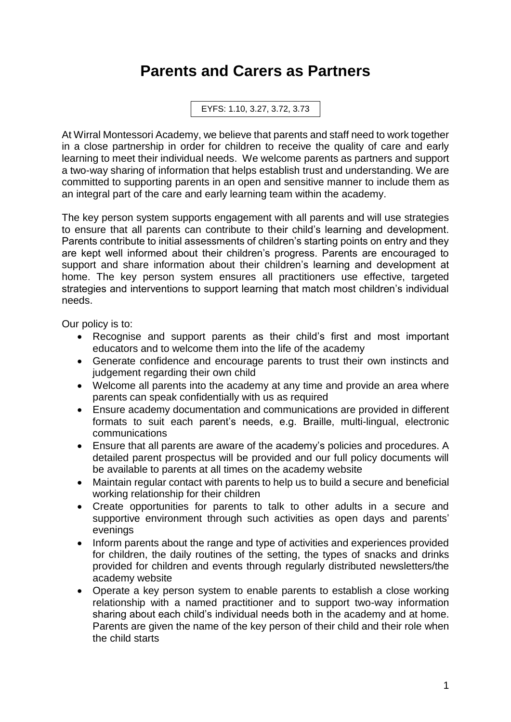## **Parents and Carers as Partners**

EYFS: 1.10, 3.27, 3.72, 3.73

At Wirral Montessori Academy, we believe that parents and staff need to work together in a close partnership in order for children to receive the quality of care and early learning to meet their individual needs. We welcome parents as partners and support a two-way sharing of information that helps establish trust and understanding. We are committed to supporting parents in an open and sensitive manner to include them as an integral part of the care and early learning team within the academy.

The key person system supports engagement with all parents and will use strategies to ensure that all parents can contribute to their child's learning and development. Parents contribute to initial assessments of children's starting points on entry and they are kept well informed about their children's progress. Parents are encouraged to support and share information about their children's learning and development at home. The key person system ensures all practitioners use effective, targeted strategies and interventions to support learning that match most children's individual needs.

Our policy is to:

- Recognise and support parents as their child's first and most important educators and to welcome them into the life of the academy
- Generate confidence and encourage parents to trust their own instincts and judgement regarding their own child
- Welcome all parents into the academy at any time and provide an area where parents can speak confidentially with us as required
- Ensure academy documentation and communications are provided in different formats to suit each parent's needs, e.g. Braille, multi-lingual, electronic communications
- Ensure that all parents are aware of the academy's policies and procedures. A detailed parent prospectus will be provided and our full policy documents will be available to parents at all times on the academy website
- Maintain regular contact with parents to help us to build a secure and beneficial working relationship for their children
- Create opportunities for parents to talk to other adults in a secure and supportive environment through such activities as open days and parents' evenings
- Inform parents about the range and type of activities and experiences provided for children, the daily routines of the setting, the types of snacks and drinks provided for children and events through regularly distributed newsletters/the academy website
- Operate a key person system to enable parents to establish a close working relationship with a named practitioner and to support two-way information sharing about each child's individual needs both in the academy and at home. Parents are given the name of the key person of their child and their role when the child starts